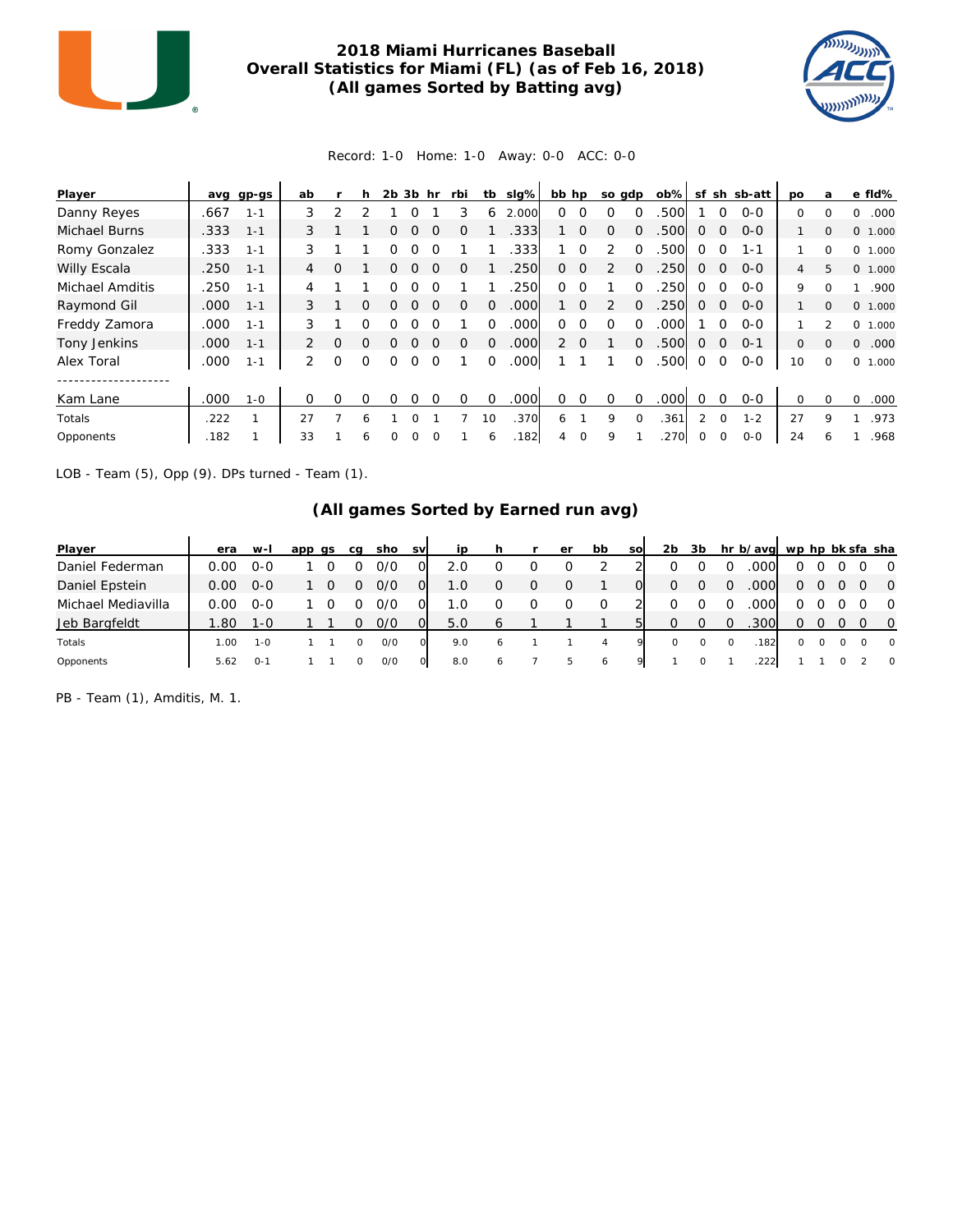

## **2018 Miami Hurricanes Baseball Overall Statistics for Miami (FL) (as of Feb 16, 2018) (All games Sorted by Batting avg)**



## Record: 1-0 Home: 1-0 Away: 0-0 ACC: 0-0

| Player          | avq  | gp-gs   | ab            |          | h        | 2b | 3b | hr       | rbi      | tb       | slg%              | bb hp          |          | so gdp   |          | ob%  | sf             |          | sh sb-att | po | a            | e fld%           |
|-----------------|------|---------|---------------|----------|----------|----|----|----------|----------|----------|-------------------|----------------|----------|----------|----------|------|----------------|----------|-----------|----|--------------|------------------|
| Danny Reyes     | .667 | $1 - 1$ | 3             | っ        |          |    |    |          |          | 6        | 2.000             | 0              |          |          |          | .500 |                |          | $0 - 0$   | 0  | $\Omega$     | .000<br>0        |
| Michael Burns   | .333 | $1 - 1$ | 3             |          |          | O  |    | $\Omega$ | $\Omega$ |          | .333              |                | $\Omega$ | $\Omega$ | $\Omega$ | 500  | $\Omega$       | $\Omega$ | $0 - 0$   |    | $\Omega$     | 0 1.000          |
| Romy Gonzalez   | .333 | $1 - 1$ | 3             |          |          | ი  | ∩  |          |          |          | .333              |                | $\Omega$ |          | $\Omega$ | .500 | $\Omega$       | $\Omega$ | $1 - 1$   |    | 0            | 0 1.000          |
| Willy Escala    | .250 | $1 - 1$ | 4             | $\Omega$ |          | ∩  |    | $\Omega$ | $\Omega$ |          | .250              | $\Omega$       | $\Omega$ | 2        | $\Omega$ | .250 | $\Omega$       | $\Omega$ | $O - O$   | 4  | 5            | 0, 1,000         |
| Michael Amditis | .250 | $1 - 1$ | 4             |          |          | ∩  |    |          |          |          | 250               | 0              | $\Omega$ |          | ∩        | 250  | $\Omega$       | $\Omega$ | $O-O$     | 9  | <sup>0</sup> | .900             |
| Raymond Gil     | .000 | $1 - 1$ | 3             |          | $\Omega$ | Ω  |    | $\Omega$ | O        | $\Omega$ | .000              |                | $\Omega$ |          | $\Omega$ | .250 | $\Omega$       | $\Omega$ | $O-O$     |    | $\Omega$     | 0 1.000          |
| Freddy Zamora   | .000 | $1 - 1$ | 3             |          | O        | ∩  |    |          |          | $\Omega$ | .000              | 0              | $\Omega$ | $\Omega$ | $\Omega$ | .000 |                | $\Omega$ | $O - O$   |    | っ            | 0 1.000          |
| Tony Jenkins    | .000 | $1 - 1$ | $\mathcal{P}$ | $\Omega$ | $\Omega$ | 0  | O  | $\Omega$ | $\Omega$ | $\Omega$ | .000              | $\overline{2}$ | $\Omega$ |          | $\Omega$ | .500 | $\Omega$       | $\Omega$ | $O - 1$   | 0  | $\Omega$     | $\Omega$<br>.000 |
| Alex Toral      | .000 | $1 - 1$ | 2             | $\Omega$ | $\Omega$ | 0  |    |          |          | 0        | .000 <sub>1</sub> |                |          |          | $\Omega$ | .500 | $\circ$        | 0        | $0 - 0$   | 10 | 0            | 0<br>1.000       |
| Kam Lane        | .000 | 1-0     | $\Omega$      | $\Omega$ | $\Omega$ | O  | ∩  | $\Omega$ | 0        | $\Omega$ | .000              | 0              | $\Omega$ | $\Omega$ | $\Omega$ | .000 | $\Omega$       | $\Omega$ | $0 - 0$   | 0  | 0            | .000<br>$\Omega$ |
| Totals          | .222 |         | 27            |          | 6        |    |    |          |          | 10       | .370              | 6              |          | 9        |          | .361 | $\mathfrak{D}$ | $\Omega$ | $1 - 2$   | 27 | 9            | .973             |
| Opponents       | .182 |         | 33            |          | 6        | Ω  |    |          |          | 6        | .182              | 4              | 0        | 9        |          | .270 | $\Omega$       | $\Omega$ | $0 - 0$   | 24 | 6            | .968             |

LOB - Team (5), Opp (9). DPs turned - Team (1).

## **(All games Sorted by Earned run avg)**

| Player             | era  | $W-I$   | app qs | ca | sho | <b>SV</b> | ip  |              |   | er       | bb | <b>SO</b> | 2b      | 3b       |   | hr b/avg wp hp bk sfa sha |          |   |   |                |
|--------------------|------|---------|--------|----|-----|-----------|-----|--------------|---|----------|----|-----------|---------|----------|---|---------------------------|----------|---|---|----------------|
| Daniel Federman    | 0.00 | $O-O$   |        |    | 0/0 |           | 2.0 |              |   |          |    |           |         |          |   | .000                      | Ω        |   |   | $\overline{0}$ |
| Daniel Epstein     | 0.00 | $O-O$   |        |    | 0/0 |           | 1.0 |              | O | $\Omega$ |    |           | 0       | $\Omega$ |   | .000                      | 0        |   |   | $\bigcirc$     |
| Michael Mediavilla | 0.00 | $O-O$   |        |    | 0/0 |           | 1.0 |              |   |          |    |           |         |          |   | 000                       | 0        |   |   | $\overline{0}$ |
| Jeb Bargfeldt      | .80  | 1-0     |        |    | 0/0 | Ω         | 5.0 | 6            |   |          |    |           | O       |          |   | .300                      | 0        |   |   | $\overline{0}$ |
| Totals             | .00  | $1 - 0$ |        |    | O/O |           | 9.0 | <sub>6</sub> |   |          | 4  |           | $\circ$ |          | 0 | 182                       | $\Omega$ | 0 | 0 | $\overline{0}$ |
| Opponents          | 5.62 | $0 - 1$ |        |    | O/O |           | 8.0 | 6            |   | ь        | 6  |           |         |          |   | 222                       |          |   |   | $\overline{0}$ |

PB - Team (1), Amditis, M. 1.